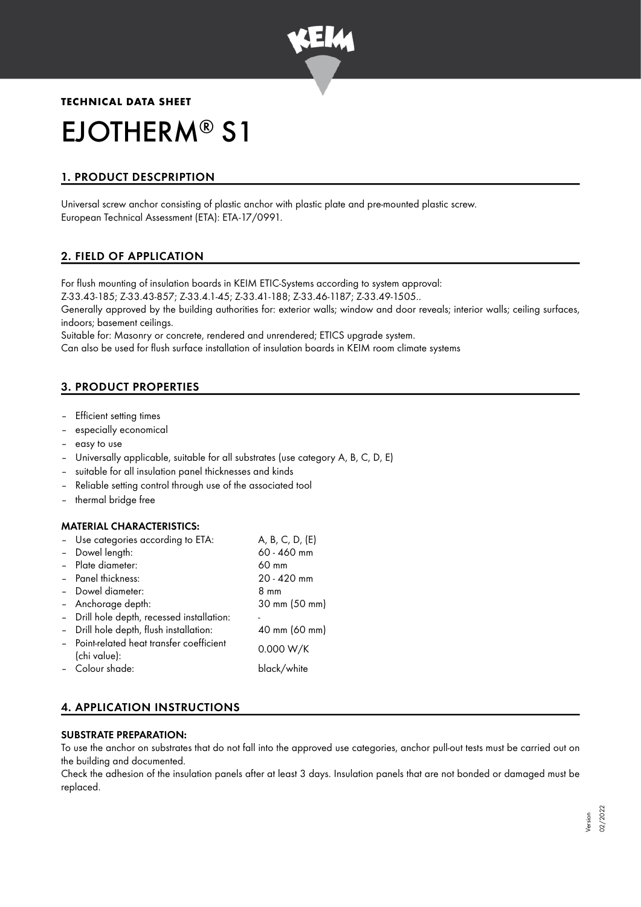

# **TECHNICAL DATA SHEET** EJOTHERM<sup>®</sup> S1

# 1. PRODUCT DESCPRIPTION

Universal screw anchor consisting of plastic anchor with plastic plate and pre-mounted plastic screw. European Technical Assessment (ETA): ETA-17/0991.

# 2. FIELD OF APPLICATION

For flush mounting of insulation boards in KEIM ETIC-Systems according to system approval: Z-33.43-185; Z-33.43-857; Z-33.4.1-45; Z-33.41-188; Z-33.46-1187; Z-33.49-1505..

Generally approved by the building authorities for: exterior walls; window and door reveals; interior walls; ceiling surfaces, indoors; basement ceilings.

Suitable for: Masonry or concrete, rendered and unrendered; ETICS upgrade system.

Can also be used for flush surface installation of insulation boards in KEIM room climate systems

## 3. PRODUCT PROPERTIES

- Efficient setting times
- especially economical
- easy to use
- Universally applicable, suitable for all substrates (use category A, B, C, D, E)
- suitable for all insulation panel thicknesses and kinds
- Reliable setting control through use of the associated tool
- thermal bridge free

## MATERIAL CHARACTERISTICS:

| - Use categories according to ETA:         | A, B, C, D, (E) |
|--------------------------------------------|-----------------|
| Dowel length:                              | 60 - 460 mm     |
| - Plate diameter:                          | $60 \text{ mm}$ |
| - Panel thickness:                         | 20 - 420 mm     |
| - Dowel diameter:                          | 8 mm            |
| - Anchorage depth:                         | 30 mm (50 mm)   |
| - Drill hole depth, recessed installation: |                 |
| Drill hole depth, flush installation:      | 40 mm (60 mm)   |
| - Point-related heat transfer coefficient  | 0.000 W/K       |
| (chi value):                               |                 |
| - Colour shade:                            | black/white     |

# 4. APPLICATION INSTRUCTIONS

#### SUBSTRATE PREPARATION:

To use the anchor on substrates that do not fall into the approved use categories, anchor pull-out tests must be carried out on the building and documented.

Check the adhesion of the insulation panels after at least 3 days. Insulation panels that are not bonded or damaged must be replaced.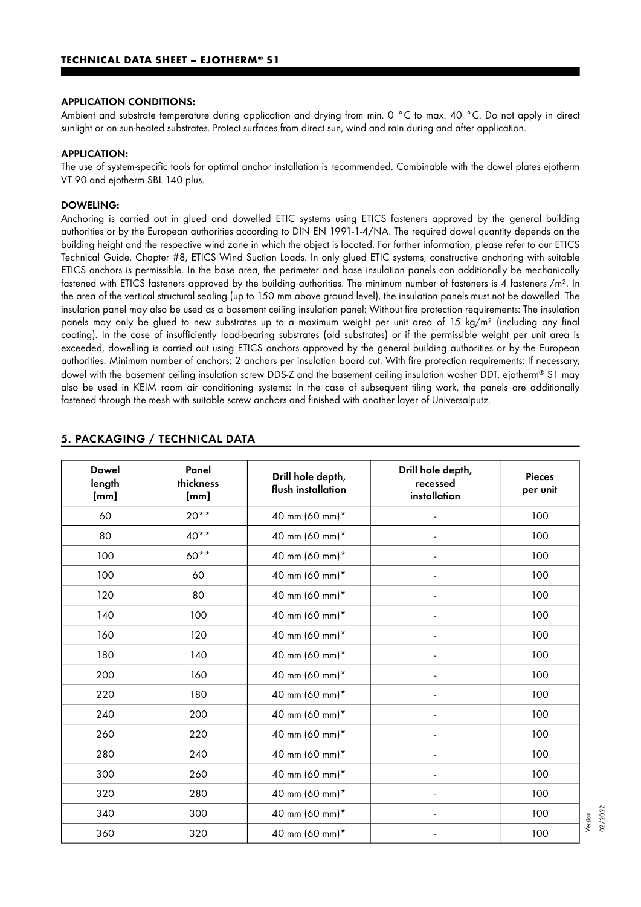#### APPLICATION CONDITIONS:

Ambient and substrate temperature during application and drying from min. 0 °C to max. 40 °C. Do not apply in direct sunlight or on sun-heated substrates. Protect surfaces from direct sun, wind and rain during and after application.

#### APPLICATION:

The use of system-specific tools for optimal anchor installation is recommended. Combinable with the dowel plates ejotherm VT 90 and ejotherm SBL 140 plus.

#### DOWELING:

Anchoring is carried out in glued and dowelled ETIC systems using ETICS fasteners approved by the general building authorities or by the European authorities according to DIN EN 1991-1-4/NA. The required dowel quantity depends on the building height and the respective wind zone in which the object is located. For further information, please refer to our ETICS Technical Guide, Chapter #8, ETICS Wind Suction Loads. In only glued ETIC systems, constructive anchoring with suitable ETICS anchors is permissible. In the base area, the perimeter and base insulation panels can additionally be mechanically fastened with ETICS fasteners approved by the building authorities. The minimum number of fasteners is 4 fasteners /m<sup>2</sup>. In the area of the vertical structural sealing (up to 150 mm above ground level), the insulation panels must not be dowelled. The insulation panel may also be used as a basement ceiling insulation panel: Without fire protection requirements: The insulation panels may only be glued to new substrates up to a maximum weight per unit area of 15 kg/m² (including any final coating). In the case of insufficiently load-bearing substrates (old substrates) or if the permissible weight per unit area is exceeded, dowelling is carried out using ETICS anchors approved by the general building authorities or by the European authorities. Minimum number of anchors: 2 anchors per insulation board cut. With fire protection requirements: If necessary, dowel with the basement ceiling insulation screw DDS-Z and the basement ceiling insulation washer DDT. ejotherm® S1 may also be used in KEIM room air conditioning systems: In the case of subsequent tiling work, the panels are additionally fastened through the mesh with suitable screw anchors and finished with another layer of Universalputz.

| <b>Dowel</b><br>length<br>[mm] | Panel<br>thickness<br>[mm] | Drill hole depth,<br>flush installation | Drill hole depth,<br>recessed<br>installation | <b>Pieces</b><br>per unit |
|--------------------------------|----------------------------|-----------------------------------------|-----------------------------------------------|---------------------------|
| 60                             | $20**$                     | 40 mm (60 mm)*                          |                                               | 100                       |
| 80                             | $40**$                     | 40 mm (60 mm)*                          |                                               | 100                       |
| 100                            | 60**                       | 40 mm (60 mm)*                          |                                               | 100                       |
| 100                            | 60                         | 40 mm (60 mm)*                          |                                               | 100                       |
| 120                            | 80                         | 40 mm (60 mm)*                          |                                               | 100                       |
| 140                            | 100                        | 40 mm (60 mm)*                          |                                               | 100                       |
| 160                            | 120                        | 40 mm (60 mm)*                          |                                               | 100                       |
| 180                            | 140                        | 40 mm (60 mm)*                          |                                               | 100                       |
| 200                            | 160                        | 40 mm (60 mm)*                          |                                               | 100                       |
| 220                            | 180                        | 40 mm (60 mm)*                          |                                               | 100                       |
| 240                            | 200                        | 40 mm (60 mm)*                          |                                               | 100                       |
| 260                            | 220                        | 40 mm (60 mm)*                          |                                               | 100                       |
| 280                            | 240                        | 40 mm (60 mm)*                          | $\overline{a}$                                | 100                       |
| 300                            | 260                        | 40 mm (60 mm)*                          | $\blacksquare$                                | 100                       |
| 320                            | 280                        | 40 mm (60 mm)*                          | $\overline{a}$                                | 100                       |
| 340                            | 300                        | 40 mm (60 mm)*                          | $\overline{a}$                                | 100                       |
| 360                            | 320                        | 40 mm (60 mm)*                          |                                               | 100                       |

## 5. PACKAGING / TECHNICAL DATA